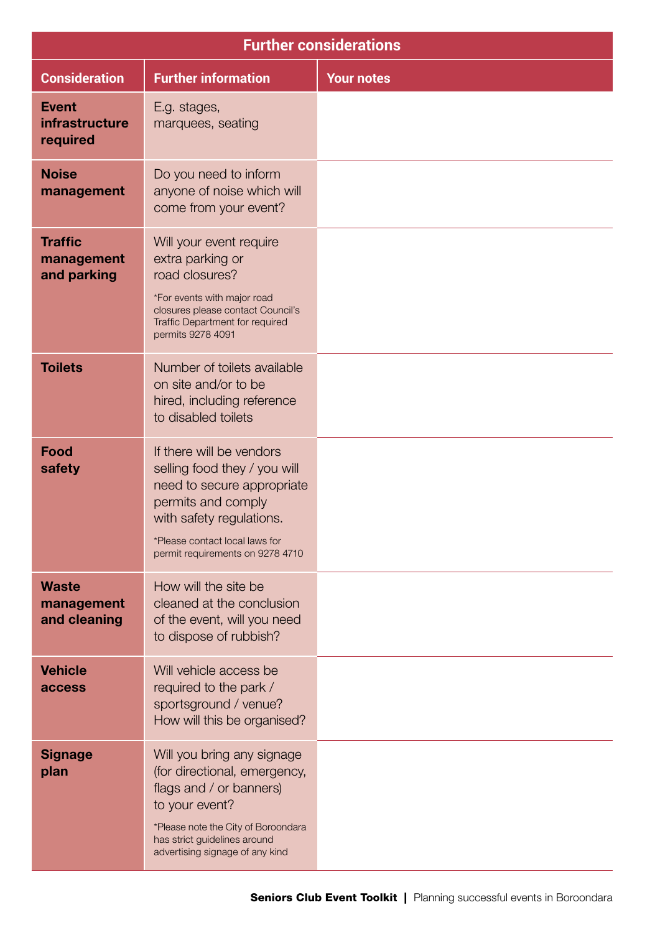| <b>Further considerations</b>                     |                                                                                                                                                                                                                   |                   |  |
|---------------------------------------------------|-------------------------------------------------------------------------------------------------------------------------------------------------------------------------------------------------------------------|-------------------|--|
| <b>Consideration</b>                              | <b>Further information</b>                                                                                                                                                                                        | <b>Your notes</b> |  |
| <b>Event</b><br><b>infrastructure</b><br>required | E.g. stages,<br>marquees, seating                                                                                                                                                                                 |                   |  |
| <b>Noise</b><br>management                        | Do you need to inform<br>anyone of noise which will<br>come from your event?                                                                                                                                      |                   |  |
| <b>Traffic</b><br>management<br>and parking       | Will your event require<br>extra parking or<br>road closures?<br>*For events with major road<br>closures please contact Council's<br>Traffic Department for required                                              |                   |  |
| <b>Toilets</b>                                    | permits 9278 4091<br>Number of toilets available<br>on site and/or to be<br>hired, including reference<br>to disabled toilets                                                                                     |                   |  |
| <b>Food</b><br>safety                             | If there will be vendors<br>selling food they / you will<br>need to secure appropriate<br>permits and comply<br>with safety regulations.<br>*Please contact local laws for<br>permit requirements on 9278 4710    |                   |  |
| <b>Waste</b><br>management<br>and cleaning        | How will the site be<br>cleaned at the conclusion<br>of the event, will you need<br>to dispose of rubbish?                                                                                                        |                   |  |
| <b>Vehicle</b><br>access                          | Will vehicle access be<br>required to the park /<br>sportsground / venue?<br>How will this be organised?                                                                                                          |                   |  |
| <b>Signage</b><br>plan                            | Will you bring any signage<br>(for directional, emergency,<br>flags and / or banners)<br>to your event?<br>*Please note the City of Boroondara<br>has strict guidelines around<br>advertising signage of any kind |                   |  |